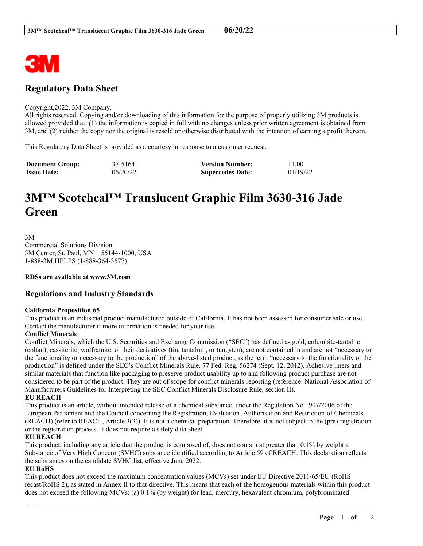

# **Regulatory Data Sheet**

#### Copyright,2022, 3M Company.

All rights reserved. Copying and/or downloading of this information for the purpose of properly utilizing 3M products is allowed provided that: (1) the information is copied in full with no changes unless prior written agreement is obtained from 3M, and (2) neither the copy nor the original is resold or otherwise distributed with the intention of earning a profit thereon.

This Regulatory Data Sheet is provided as a courtesy in response to a customer request.

| <b>Document Group:</b> | 37-5164-1 | <b>Version Number:</b>  | 11.00    |
|------------------------|-----------|-------------------------|----------|
| <b>Issue Date:</b>     | 06/20/22  | <b>Supercedes Date:</b> | 01/19/22 |

# **3M™ Scotchcal™ Translucent Graphic Film 3630-316 Jade Green**

3M Commercial Solutions Division 3M Center, St. Paul, MN 55144-1000, USA 1-888-3M HELPS (1-888-364-3577)

**RDSs are available at www.3M.com**

# **Regulations and Industry Standards**

#### **California Proposition 65**

This product is an industrial product manufactured outside of California. It has not been assessed for consumer sale or use. Contact the manufacturer if more information is needed for your use.

#### **Conflict Minerals**

Conflict Minerals, which the U.S. Securities and Exchange Commission ("SEC") has defined as gold, columbite-tantalite (coltan), cassiterite, wolframite, or their derivatives (tin, tantalum, or tungsten), are not contained in and are not "necessary to the functionality or necessary to the production" of the above-listed product, as the term "necessary to the functionality or the production" is defined under the SEC's Conflict Minerals Rule. 77 Fed. Reg. 56274 (Sept. 12, 2012). Adhesive liners and similar materials that function like packaging to preserve product usability up to and following product purchase are not considered to be part of the product. They are out of scope for conflict minerals reporting (reference: National Association of Manufacturers Guidelines for Interpreting the SEC Conflict Minerals Disclosure Rule, section II).

## **EU REACH**

This product is an article, without intended release of a chemical substance, under the Regulation No 1907/2006 of the European Parliament and the Council concerning the Registration, Evaluation, Authorisation and Restriction of Chemicals (REACH) (refer to REACH, Article 3(3)). It is not a chemical preparation. Therefore, it is not subject to the (pre)-registration or the registration process. It does not require a safety data sheet.

#### **EU REACH**

This product, including any article that the product is composed of, does not contain at greater than 0.1% by weight a Substance of Very High Concern (SVHC) substance identified according to Article 59 of REACH. This declaration reflects the substances on the candidate SVHC list, effective June 2022.

### **EU RoHS**

This product does not exceed the maximum concentration values (MCVs) set under EU Directive 2011/65/EU (RoHS recast/RoHS 2), as stated in Annex II to that directive. This means that each of the homogenous materials within this product does not exceed the following MCVs: (a) 0.1% (by weight) for lead, mercury, hexavalent chromium, polybrominated

\_\_\_\_\_\_\_\_\_\_\_\_\_\_\_\_\_\_\_\_\_\_\_\_\_\_\_\_\_\_\_\_\_\_\_\_\_\_\_\_\_\_\_\_\_\_\_\_\_\_\_\_\_\_\_\_\_\_\_\_\_\_\_\_\_\_\_\_\_\_\_\_\_\_\_\_\_\_\_\_\_\_\_\_\_\_\_\_\_\_